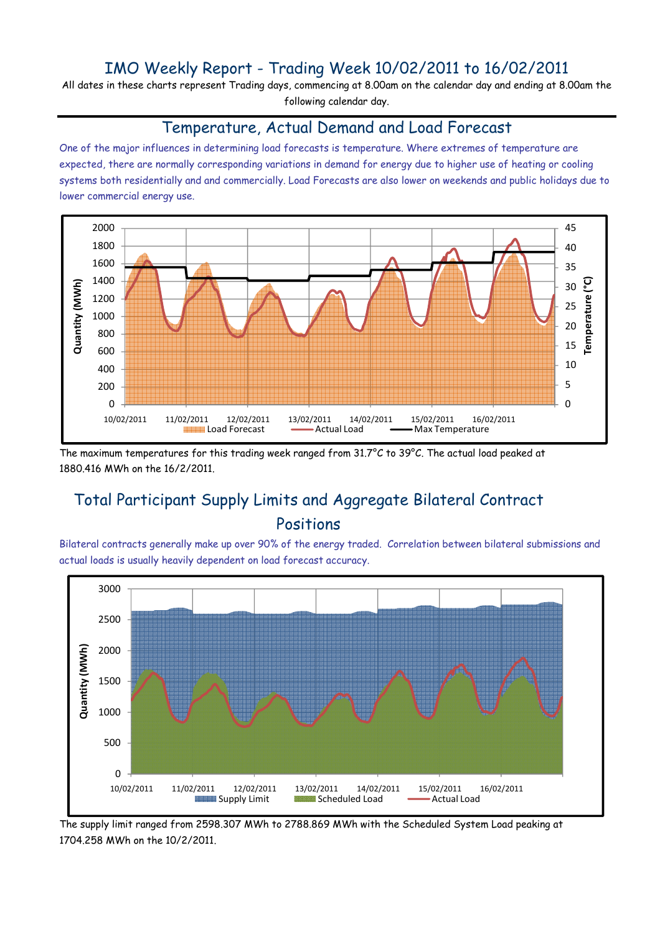## IMO Weekly Report - Trading Week 10/02/2011 to 16/02/2011

All dates in these charts represent Trading days, commencing at 8.00am on the calendar day and ending at 8.00am the following calendar day.

#### Temperature, Actual Demand and Load Forecast

One of the major influences in determining load forecasts is temperature. Where extremes of temperature are expected, there are normally corresponding variations in demand for energy due to higher use of heating or cooling systems both residentially and and commercially. Load Forecasts are also lower on weekends and public holidays due to lower commercial energy use.



The maximum temperatures for this trading week ranged from 31.7°C to 39°C. The actual load peaked at 1880.416 MWh on the 16/2/2011.

# Total Participant Supply Limits and Aggregate Bilateral Contract Positions

Bilateral contracts generally make up over 90% of the energy traded. Correlation between bilateral submissions and actual loads is usually heavily dependent on load forecast accuracy.



The supply limit ranged from 2598.307 MWh to 2788.869 MWh with the Scheduled System Load peaking at 1704.258 MWh on the 10/2/2011.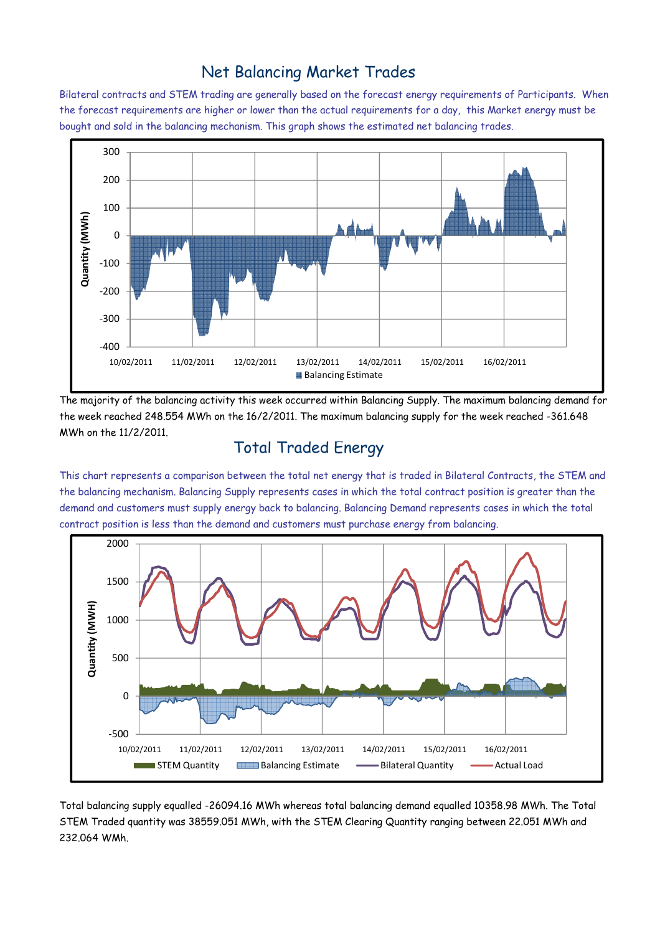### Net Balancing Market Trades

Bilateral contracts and STEM trading are generally based on the forecast energy requirements of Participants. When the forecast requirements are higher or lower than the actual requirements for a day, this Market energy must be bought and sold in the balancing mechanism. This graph shows the estimated net balancing trades.



The majority of the balancing activity this week occurred within Balancing Supply. The maximum balancing demand for the week reached 248.554 MWh on the 16/2/2011. The maximum balancing supply for the week reached -361.648 MWh on the 11/2/2011.

#### Total Traded Energy

This chart represents a comparison between the total net energy that is traded in Bilateral Contracts, the STEM and the balancing mechanism. Balancing Supply represents cases in which the total contract position is greater than the demand and customers must supply energy back to balancing. Balancing Demand represents cases in which the total contract position is less than the demand and customers must purchase energy from balancing.



Total balancing supply equalled -26094.16 MWh whereas total balancing demand equalled 10358.98 MWh. The Total STEM Traded quantity was 38559.051 MWh, with the STEM Clearing Quantity ranging between 22.051 MWh and 232.064 WMh.